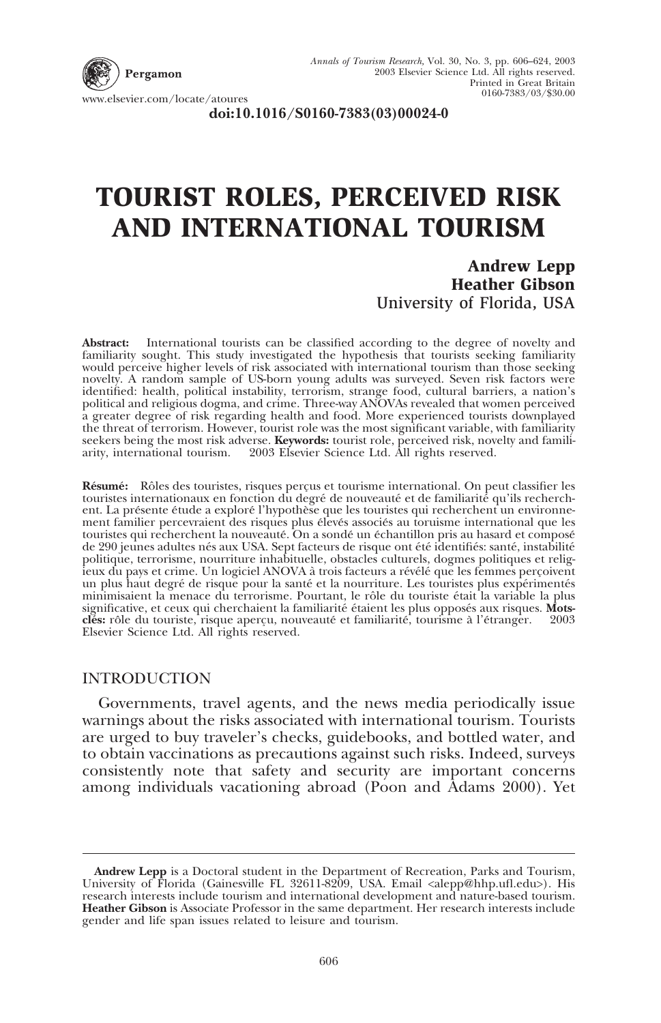

**doi:10.1016/S0160-7383(03)00024-0**

## **TOURIST ROLES, PERCEIVED RISK AND INTERNATIONAL TOURISM**

**Andrew Lepp Heather Gibson** University of Florida, USA

**Abstract:** International tourists can be classified according to the degree of novelty and familiarity sought. This study investigated the hypothesis that tourists seeking familiarity would perceive higher levels of risk associated with international tourism than those seeking novelty. A random sample of US-born young adults was surveyed. Seven risk factors were identified: health, political instability, terrorism, strange food, cultural barriers, a nation's political and religious dogma, and crime. Three-way ANOVAs revealed that women perceived a greater degree of risk regarding health and food. More experienced tourists downplayed the threat of terrorism. However, tourist role was the most significant variable, with familiarity seekers being the most risk adverse. **Keywords:** tourist role, perceived risk, novelty and familiarity, international tourism. 2003 Elsevier Science Ltd. All rights reserved.

Résumé: Rôles des touristes, risques perçus et tourisme international. On peut classifier les touristes internationaux en fonction du degré de nouveauté et de familiarité qu'ils recherchent. La présente étude a exploré l'hypothèse que les touristes qui recherchent un environnement familier percevraient des risques plus élevés associés au toruisme international que les<br>touristes qui recherchent la nouveauté. On a sondé un échantillon pris au hasard et composé de 290 jeunes adultes nés aux USA. Sept facteurs de risque ont été identifiés: santé, instabilité politique, terrorisme, nourriture inhabituelle, obstacles culturels, dogmes politiques et religieux du pays et crime. Un logiciel ANOVA à trois facteurs a révélé que les femmes percoivent<br>un plus haut degré de risque pour la santé et la nourriture. Les touristes plus expérimentés min imisaient la menace du terrorisme. Pourtant, le rôle du touriste était la variable la plus significative, et ceux qui cherchaient la familiarité étaient les plus opposés aux risques. Mots**clés:** rôle du touriste, risque aperçu, nouveauté et familiarité, tourisme à l'étranger. © 2003<br>Elsevier Science Ltd. All rights reserved.

## INTRODUCTION

Governments, travel agents, and the news media periodically issue warnings about the risks associated with international tourism. Tourists are urged to buy traveler's checks, guidebooks, and bottled water, and to obtain vaccinations as precautions against such risks. Indeed, surveys consistently note that safety and security are important concerns among individuals vacationing abroad (Poon and Adams 2000). Yet

**Andrew Lepp** is a Doctoral student in the Department of Recreation, Parks and Tourism, University of Florida (Gainesville FL 32611-8209, USA. Email <alepp@hhp.ufl.edu>). His research interests include tourism and international development and nature-based tourism. **Heather Gibson** is Associate Professor in the same department. Her research interests include gender and life span issues related to leisure and tourism.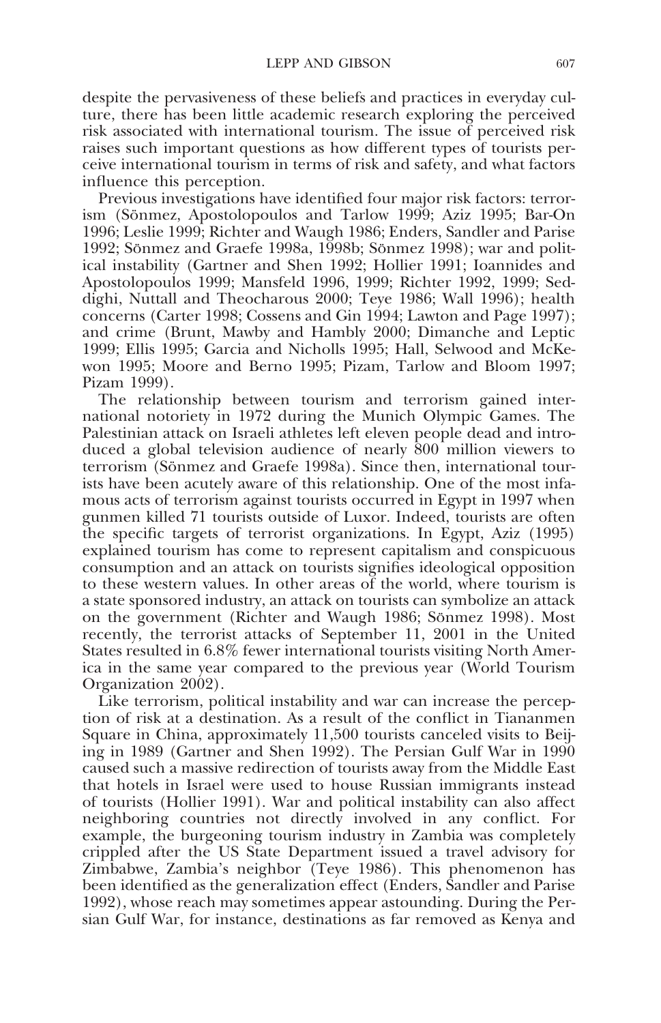despite the pervasiveness of these beliefs and practices in everyday culture, there has been little academic research exploring the perceived risk associated with international tourism. The issue of perceived risk raises such important questions as how different types of tourists perceive international tourism in terms of risk and safety, and what factors influence this perception.

Previous investigations have identified four major risk factors: terrorism (Sönmez, Apostolopoulos and Tarlow 1999; Aziz 1995; Bar-On 1996; Leslie 1999; Richter and Waugh 1986; Enders, Sandler and Parise 1992; Sönmez and Graefe 1998a, 1998b; Sönmez 1998); war and political instability (Gartner and Shen 1992; Hollier 1991; Ioannides and Apostolopoulos 1999; Mansfeld 1996, 1999; Richter 1992, 1999; Seddighi, Nuttall and Theocharous 2000; Teye 1986; Wall 1996); health concerns (Carter 1998; Cossens and Gin 1994; Lawton and Page 1997); and crime (Brunt, Mawby and Hambly 2000; Dimanche and Leptic 1999; Ellis 1995; Garcia and Nicholls 1995; Hall, Selwood and McKewon 1995; Moore and Berno 1995; Pizam, Tarlow and Bloom 1997; Pizam 1999).

The relationship between tourism and terrorism gained international notoriety in 1972 during the Munich Olympic Games. The Palestinian attack on Israeli athletes left eleven people dead and introduced a global television audience of nearly 800 million viewers to terrorism (Sönmez and Graefe 1998a). Since then, international tourists have been acutely aware of this relationship. One of the most infamous acts of terrorism against tourists occurred in Egypt in 1997 when gunmen killed 71 tourists outside of Luxor. Indeed, tourists are often the specific targets of terrorist organizations. In Egypt, Aziz (1995) explained tourism has come to represent capitalism and conspicuous consumption and an attack on tourists signifies ideological opposition to these western values. In other areas of the world, where tourism is a state sponsored industry, an attack on tourists can symbolize an attack on the government (Richter and Waugh 1986; Sönmez 1998). Most recently, the terrorist attacks of September 11, 2001 in the United States resulted in 6.8% fewer international tourists visiting North America in the same year compared to the previous year (World Tourism Organization 2002).

Like terrorism, political instability and war can increase the perception of risk at a destination. As a result of the conflict in Tiananmen Square in China, approximately 11,500 tourists canceled visits to Beijing in 1989 (Gartner and Shen 1992). The Persian Gulf War in 1990 caused such a massive redirection of tourists away from the Middle East that hotels in Israel were used to house Russian immigrants instead of tourists (Hollier 1991). War and political instability can also affect neighboring countries not directly involved in any conflict. For example, the burgeoning tourism industry in Zambia was completely crippled after the US State Department issued a travel advisory for Zimbabwe, Zambia's neighbor (Teye 1986). This phenomenon has been identified as the generalization effect (Enders, Sandler and Parise 1992), whose reach may sometimes appear astounding. During the Persian Gulf War, for instance, destinations as far removed as Kenya and